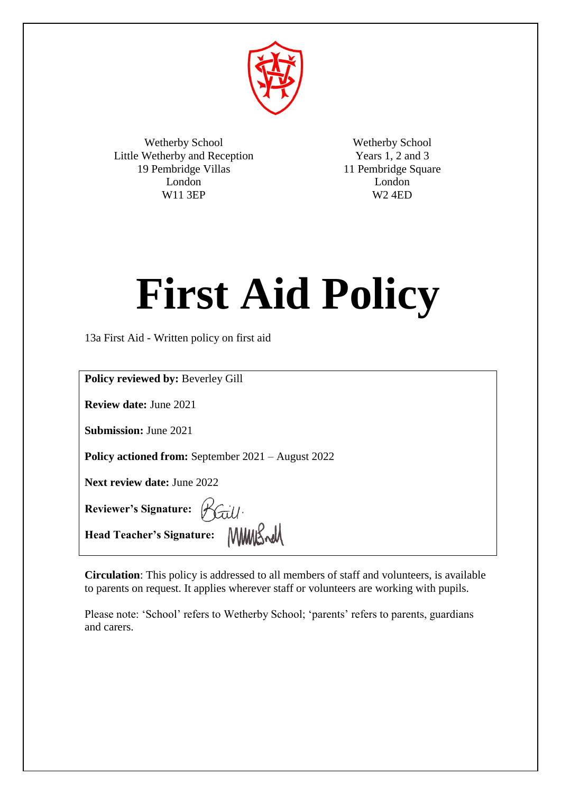

Wetherby School Little Wetherby and Reception 19 Pembridge Villas London W11 3EP

Wetherby School Years 1, 2 and 3 11 Pembridge Square London W2 4ED

# **First Aid Policy**

13a First Aid - Written policy on first aid

| <b>Policy reviewed by: Beverley Gill</b>                  |
|-----------------------------------------------------------|
| <b>Review date: June 2021</b>                             |
| <b>Submission: June 2021</b>                              |
| <b>Policy actioned from:</b> September 2021 – August 2022 |
| <b>Next review date: June 2022</b>                        |
| Reviewer's Signature: Baill.                              |
| Head Teacher's Signature: WWWK Radd                       |

**Circulation**: This policy is addressed to all members of staff and volunteers, is available to parents on request. It applies wherever staff or volunteers are working with pupils.

Please note: 'School' refers to Wetherby School; 'parents' refers to parents, guardians and carers.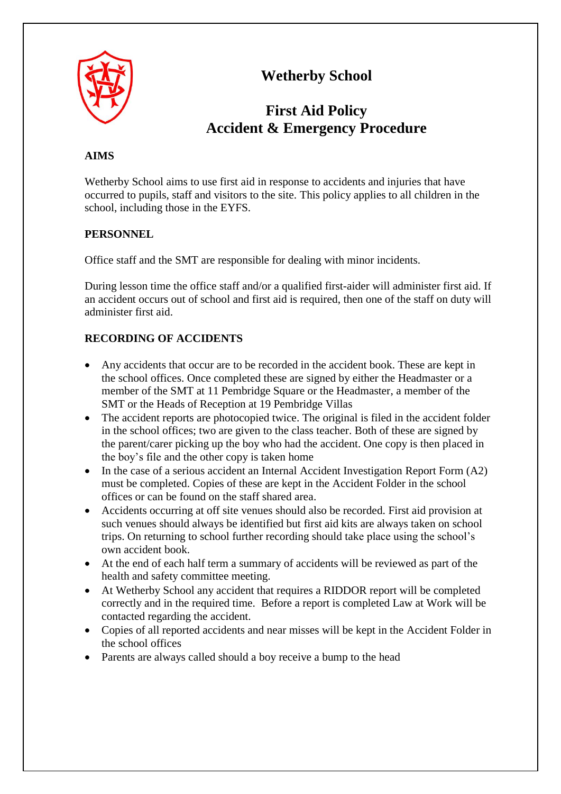

# **Wetherby School**

# **First Aid Policy Accident & Emergency Procedure**

# **AIMS**

Wetherby School aims to use first aid in response to accidents and injuries that have occurred to pupils, staff and visitors to the site. This policy applies to all children in the school, including those in the EYFS.

# **PERSONNEL**

Office staff and the SMT are responsible for dealing with minor incidents.

During lesson time the office staff and/or a qualified first-aider will administer first aid. If an accident occurs out of school and first aid is required, then one of the staff on duty will administer first aid.

# **RECORDING OF ACCIDENTS**

- Any accidents that occur are to be recorded in the accident book. These are kept in the school offices. Once completed these are signed by either the Headmaster or a member of the SMT at 11 Pembridge Square or the Headmaster, a member of the SMT or the Heads of Reception at 19 Pembridge Villas
- The accident reports are photocopied twice. The original is filed in the accident folder in the school offices; two are given to the class teacher. Both of these are signed by the parent/carer picking up the boy who had the accident. One copy is then placed in the boy's file and the other copy is taken home
- In the case of a serious accident an Internal Accident Investigation Report Form (A2) must be completed. Copies of these are kept in the Accident Folder in the school offices or can be found on the staff shared area.
- Accidents occurring at off site venues should also be recorded. First aid provision at such venues should always be identified but first aid kits are always taken on school trips. On returning to school further recording should take place using the school's own accident book.
- At the end of each half term a summary of accidents will be reviewed as part of the health and safety committee meeting.
- At Wetherby School any accident that requires a RIDDOR report will be completed correctly and in the required time. Before a report is completed Law at Work will be contacted regarding the accident.
- Copies of all reported accidents and near misses will be kept in the Accident Folder in the school offices
- Parents are always called should a boy receive a bump to the head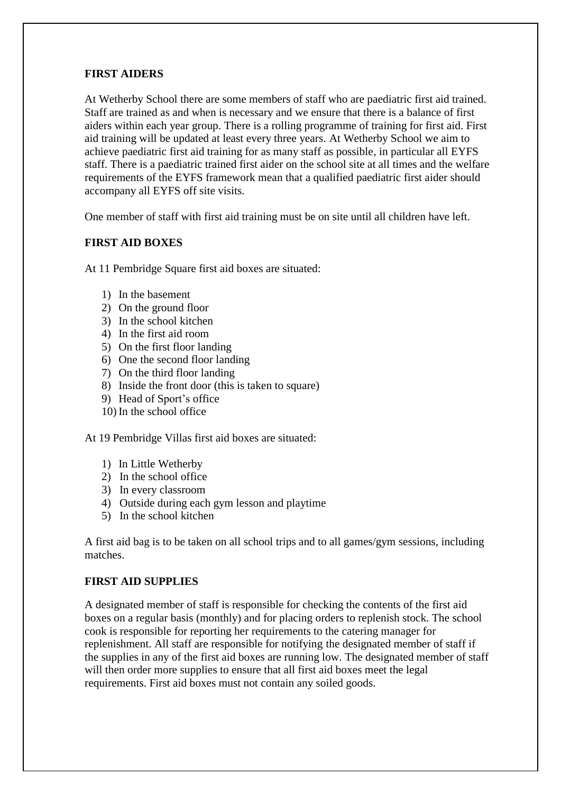#### **FIRST AIDERS**

At Wetherby School there are some members of staff who are paediatric first aid trained. Staff are trained as and when is necessary and we ensure that there is a balance of first aiders within each year group. There is a rolling programme of training for first aid. First aid training will be updated at least every three years. At Wetherby School we aim to achieve paediatric first aid training for as many staff as possible, in particular all EYFS staff. There is a paediatric trained first aider on the school site at all times and the welfare requirements of the EYFS framework mean that a qualified paediatric first aider should accompany all EYFS off site visits.

One member of staff with first aid training must be on site until all children have left.

# **FIRST AID BOXES**

At 11 Pembridge Square first aid boxes are situated:

- 1) In the basement
- 2) On the ground floor
- 3) In the school kitchen
- 4) In the first aid room
- 5) On the first floor landing
- 6) One the second floor landing
- 7) On the third floor landing
- 8) Inside the front door (this is taken to square)
- 9) Head of Sport's office
- 10) In the school office

At 19 Pembridge Villas first aid boxes are situated:

- 1) In Little Wetherby
- 2) In the school office
- 3) In every classroom
- 4) Outside during each gym lesson and playtime
- 5) In the school kitchen

A first aid bag is to be taken on all school trips and to all games/gym sessions, including matches.

#### **FIRST AID SUPPLIES**

A designated member of staff is responsible for checking the contents of the first aid boxes on a regular basis (monthly) and for placing orders to replenish stock. The school cook is responsible for reporting her requirements to the catering manager for replenishment. All staff are responsible for notifying the designated member of staff if the supplies in any of the first aid boxes are running low. The designated member of staff will then order more supplies to ensure that all first aid boxes meet the legal requirements. First aid boxes must not contain any soiled goods.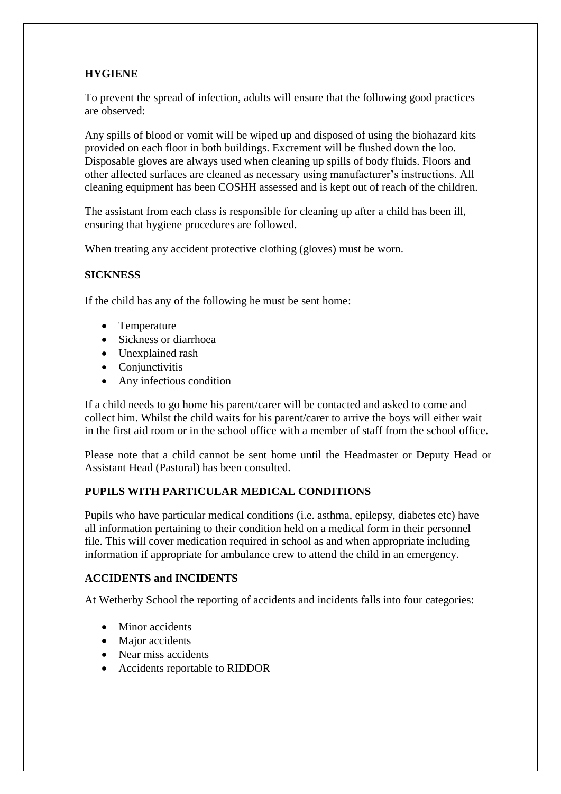# **HYGIENE**

To prevent the spread of infection, adults will ensure that the following good practices are observed:

Any spills of blood or vomit will be wiped up and disposed of using the biohazard kits provided on each floor in both buildings. Excrement will be flushed down the loo. Disposable gloves are always used when cleaning up spills of body fluids. Floors and other affected surfaces are cleaned as necessary using manufacturer's instructions. All cleaning equipment has been COSHH assessed and is kept out of reach of the children.

The assistant from each class is responsible for cleaning up after a child has been ill, ensuring that hygiene procedures are followed.

When treating any accident protective clothing (gloves) must be worn.

# **SICKNESS**

If the child has any of the following he must be sent home:

- Temperature
- Sickness or diarrhoea
- Unexplained rash
- Conjunctivitis
- Any infectious condition

If a child needs to go home his parent/carer will be contacted and asked to come and collect him. Whilst the child waits for his parent/carer to arrive the boys will either wait in the first aid room or in the school office with a member of staff from the school office.

Please note that a child cannot be sent home until the Headmaster or Deputy Head or Assistant Head (Pastoral) has been consulted.

# **PUPILS WITH PARTICULAR MEDICAL CONDITIONS**

Pupils who have particular medical conditions (i.e. asthma, epilepsy, diabetes etc) have all information pertaining to their condition held on a medical form in their personnel file. This will cover medication required in school as and when appropriate including information if appropriate for ambulance crew to attend the child in an emergency.

# **ACCIDENTS and INCIDENTS**

At Wetherby School the reporting of accidents and incidents falls into four categories:

- Minor accidents
- Major accidents
- Near miss accidents
- Accidents reportable to RIDDOR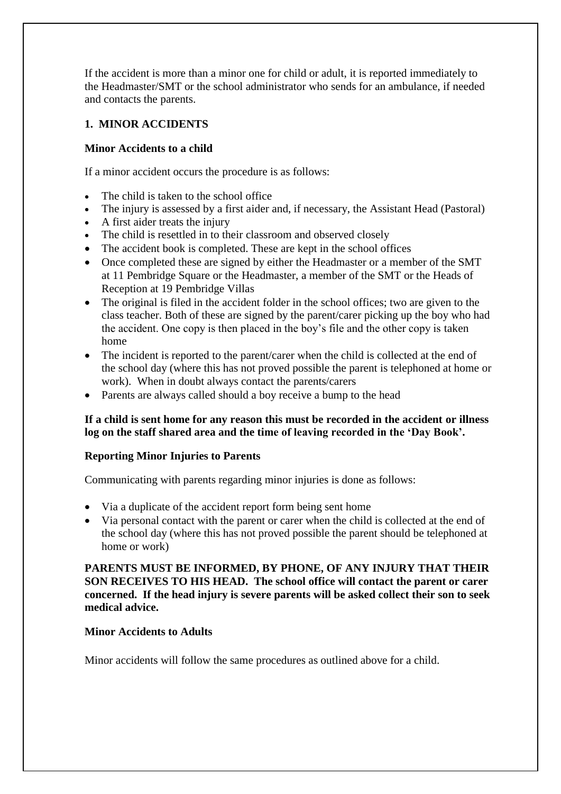If the accident is more than a minor one for child or adult, it is reported immediately to the Headmaster/SMT or the school administrator who sends for an ambulance, if needed and contacts the parents.

# **1. MINOR ACCIDENTS**

# **Minor Accidents to a child**

If a minor accident occurs the procedure is as follows:

- The child is taken to the school office
- The injury is assessed by a first aider and, if necessary, the Assistant Head (Pastoral)
- A first aider treats the injury
- The child is resettled in to their classroom and observed closely
- The accident book is completed. These are kept in the school offices
- Once completed these are signed by either the Headmaster or a member of the SMT at 11 Pembridge Square or the Headmaster, a member of the SMT or the Heads of Reception at 19 Pembridge Villas
- The original is filed in the accident folder in the school offices; two are given to the class teacher. Both of these are signed by the parent/carer picking up the boy who had the accident. One copy is then placed in the boy's file and the other copy is taken home
- The incident is reported to the parent/carer when the child is collected at the end of the school day (where this has not proved possible the parent is telephoned at home or work). When in doubt always contact the parents/carers
- Parents are always called should a boy receive a bump to the head

# **If a child is sent home for any reason this must be recorded in the accident or illness log on the staff shared area and the time of leaving recorded in the 'Day Book'.**

# **Reporting Minor Injuries to Parents**

Communicating with parents regarding minor injuries is done as follows:

- Via a duplicate of the accident report form being sent home
- Via personal contact with the parent or carer when the child is collected at the end of the school day (where this has not proved possible the parent should be telephoned at home or work)

**PARENTS MUST BE INFORMED, BY PHONE, OF ANY INJURY THAT THEIR SON RECEIVES TO HIS HEAD. The school office will contact the parent or carer concerned. If the head injury is severe parents will be asked collect their son to seek medical advice.** 

#### **Minor Accidents to Adults**

Minor accidents will follow the same procedures as outlined above for a child.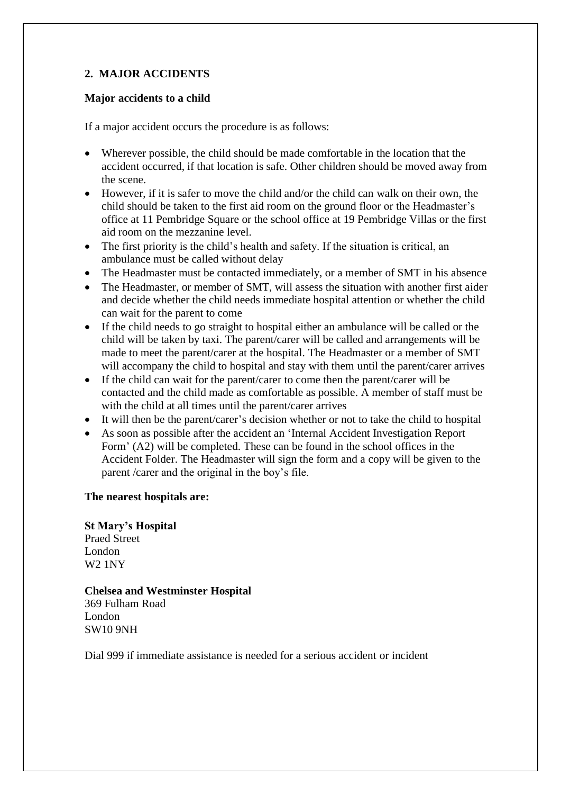# **2. MAJOR ACCIDENTS**

#### **Major accidents to a child**

If a major accident occurs the procedure is as follows:

- Wherever possible, the child should be made comfortable in the location that the accident occurred, if that location is safe. Other children should be moved away from the scene.
- However, if it is safer to move the child and/or the child can walk on their own, the child should be taken to the first aid room on the ground floor or the Headmaster's office at 11 Pembridge Square or the school office at 19 Pembridge Villas or the first aid room on the mezzanine level.
- The first priority is the child's health and safety. If the situation is critical, an ambulance must be called without delay
- The Headmaster must be contacted immediately, or a member of SMT in his absence
- The Headmaster, or member of SMT, will assess the situation with another first aider and decide whether the child needs immediate hospital attention or whether the child can wait for the parent to come
- If the child needs to go straight to hospital either an ambulance will be called or the child will be taken by taxi. The parent/carer will be called and arrangements will be made to meet the parent/carer at the hospital. The Headmaster or a member of SMT will accompany the child to hospital and stay with them until the parent/carer arrives
- If the child can wait for the parent/carer to come then the parent/carer will be contacted and the child made as comfortable as possible. A member of staff must be with the child at all times until the parent/carer arrives
- It will then be the parent/carer's decision whether or not to take the child to hospital
- As soon as possible after the accident an 'Internal Accident Investigation Report Form' (A2) will be completed. These can be found in the school offices in the Accident Folder. The Headmaster will sign the form and a copy will be given to the parent /carer and the original in the boy's file.

#### **The nearest hospitals are:**

# **St Mary's Hospital**

Praed Street London W2 1NY

**Chelsea and Westminster Hospital**  369 Fulham Road London SW10 9NH

Dial 999 if immediate assistance is needed for a serious accident or incident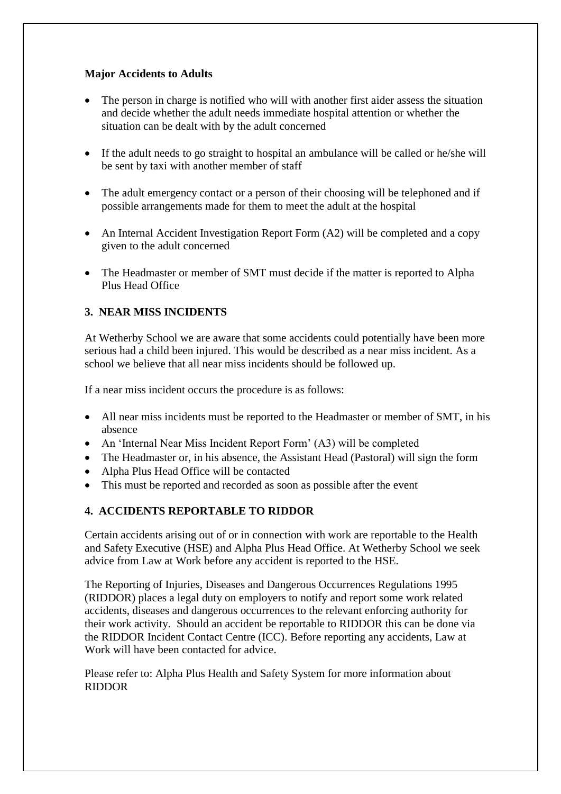# **Major Accidents to Adults**

- The person in charge is notified who will with another first aider assess the situation and decide whether the adult needs immediate hospital attention or whether the situation can be dealt with by the adult concerned
- If the adult needs to go straight to hospital an ambulance will be called or he/she will be sent by taxi with another member of staff
- The adult emergency contact or a person of their choosing will be telephoned and if possible arrangements made for them to meet the adult at the hospital
- An Internal Accident Investigation Report Form (A2) will be completed and a copy given to the adult concerned
- The Headmaster or member of SMT must decide if the matter is reported to Alpha Plus Head Office

# **3. NEAR MISS INCIDENTS**

At Wetherby School we are aware that some accidents could potentially have been more serious had a child been injured. This would be described as a near miss incident. As a school we believe that all near miss incidents should be followed up.

If a near miss incident occurs the procedure is as follows:

- All near miss incidents must be reported to the Headmaster or member of SMT, in his absence
- An 'Internal Near Miss Incident Report Form' (A3) will be completed
- The Headmaster or, in his absence, the Assistant Head (Pastoral) will sign the form
- Alpha Plus Head Office will be contacted
- This must be reported and recorded as soon as possible after the event

# **4. ACCIDENTS REPORTABLE TO RIDDOR**

Certain accidents arising out of or in connection with work are reportable to the Health and Safety Executive (HSE) and Alpha Plus Head Office. At Wetherby School we seek advice from Law at Work before any accident is reported to the HSE.

The Reporting of Injuries, Diseases and Dangerous Occurrences Regulations 1995 (RIDDOR) places a legal duty on employers to notify and report some work related accidents, diseases and dangerous occurrences to the relevant enforcing authority for their work activity. Should an accident be reportable to RIDDOR this can be done via the RIDDOR Incident Contact Centre (ICC). Before reporting any accidents, Law at Work will have been contacted for advice.

Please refer to: Alpha Plus Health and Safety System for more information about RIDDOR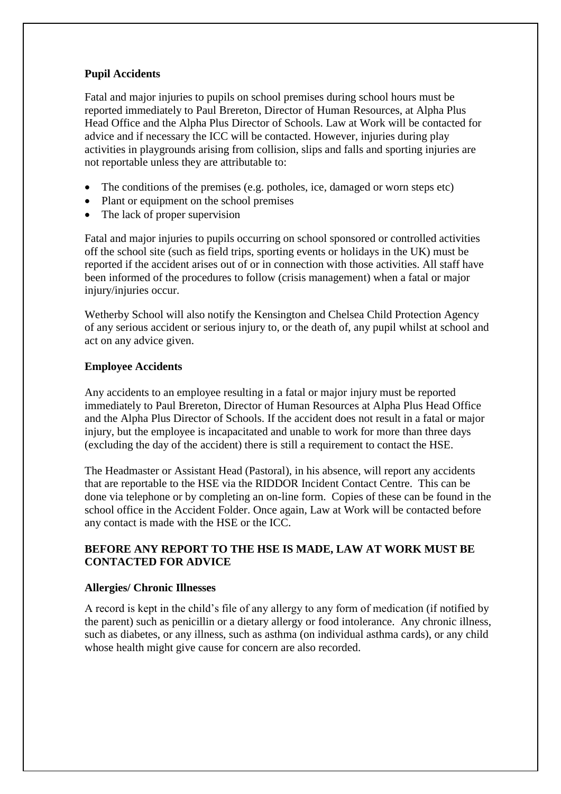# **Pupil Accidents**

Fatal and major injuries to pupils on school premises during school hours must be reported immediately to Paul Brereton, Director of Human Resources, at Alpha Plus Head Office and the Alpha Plus Director of Schools. Law at Work will be contacted for advice and if necessary the ICC will be contacted. However, injuries during play activities in playgrounds arising from collision, slips and falls and sporting injuries are not reportable unless they are attributable to:

- The conditions of the premises (e.g. potholes, ice, damaged or worn steps etc)
- Plant or equipment on the school premises
- The lack of proper supervision

Fatal and major injuries to pupils occurring on school sponsored or controlled activities off the school site (such as field trips, sporting events or holidays in the UK) must be reported if the accident arises out of or in connection with those activities. All staff have been informed of the procedures to follow (crisis management) when a fatal or major injury/injuries occur.

Wetherby School will also notify the Kensington and Chelsea Child Protection Agency of any serious accident or serious injury to, or the death of, any pupil whilst at school and act on any advice given.

#### **Employee Accidents**

Any accidents to an employee resulting in a fatal or major injury must be reported immediately to Paul Brereton, Director of Human Resources at Alpha Plus Head Office and the Alpha Plus Director of Schools. If the accident does not result in a fatal or major injury, but the employee is incapacitated and unable to work for more than three days (excluding the day of the accident) there is still a requirement to contact the HSE.

The Headmaster or Assistant Head (Pastoral), in his absence, will report any accidents that are reportable to the HSE via the RIDDOR Incident Contact Centre. This can be done via telephone or by completing an on-line form. Copies of these can be found in the school office in the Accident Folder. Once again, Law at Work will be contacted before any contact is made with the HSE or the ICC.

# **BEFORE ANY REPORT TO THE HSE IS MADE, LAW AT WORK MUST BE CONTACTED FOR ADVICE**

# **Allergies/ Chronic Illnesses**

A record is kept in the child's file of any allergy to any form of medication (if notified by the parent) such as penicillin or a dietary allergy or food intolerance. Any chronic illness, such as diabetes, or any illness, such as asthma (on individual asthma cards), or any child whose health might give cause for concern are also recorded.